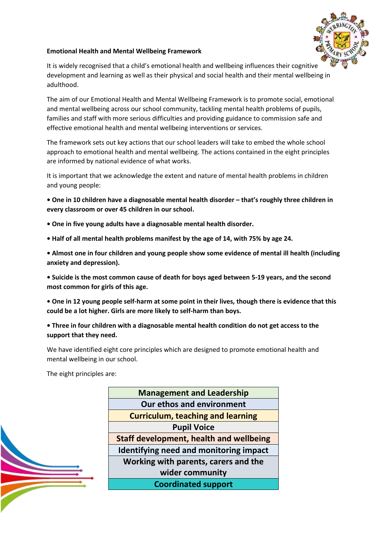

#### **Emotional Health and Mental Wellbeing Framework**

It is widely recognised that a child's emotional health and wellbeing influences their cognitive development and learning as well as their physical and social health and their mental wellbeing in adulthood.

The aim of our Emotional Health and Mental Wellbeing Framework is to promote social, emotional and mental wellbeing across our school community, tackling mental health problems of pupils, families and staff with more serious difficulties and providing guidance to commission safe and effective emotional health and mental wellbeing interventions or services.

The framework sets out key actions that our school leaders will take to embed the whole school approach to emotional health and mental wellbeing. The actions contained in the eight principles are informed by national evidence of what works.

It is important that we acknowledge the extent and nature of mental health problems in children and young people:

**• One in 10 children have a diagnosable mental health disorder – that's roughly three children in every classroom or over 45 children in our school.**

- **One in five young adults have a diagnosable mental health disorder.**
- **Half of all mental health problems manifest by the age of 14, with 75% by age 24.**

**• Almost one in four children and young people show some evidence of mental ill health (including anxiety and depression).**

**• Suicide is the most common cause of death for boys aged between 5-19 years, and the second most common for girls of this age.**

**• One in 12 young people self-harm at some point in their lives, though there is evidence that this could be a lot higher. Girls are more likely to self-harm than boys.**

**• Three in four children with a diagnosable mental health condition do not get access to the support that they need.**

We have identified eight core principles which are designed to promote emotional health and mental wellbeing in our school.

The eight principles are:

**Management and Leadership Our ethos and environment Curriculum, teaching and learning Pupil Voice Staff development, health and wellbeing Identifying need and monitoring impact Working with parents, carers and the wider community Coordinated support**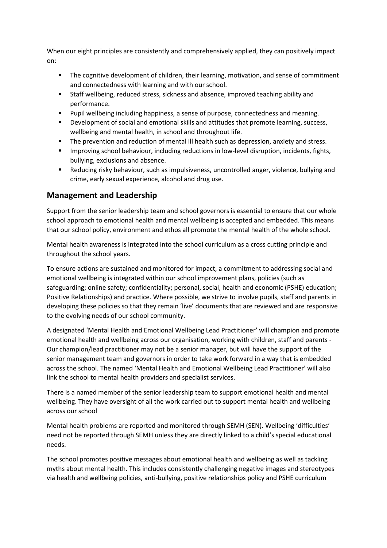When our eight principles are consistently and comprehensively applied, they can positively impact on:

- The cognitive development of children, their learning, motivation, and sense of commitment and connectedness with learning and with our school.
- Staff wellbeing, reduced stress, sickness and absence, improved teaching ability and performance.
- Pupil wellbeing including happiness, a sense of purpose, connectedness and meaning.
- **Development of social and emotional skills and attitudes that promote learning, success,** wellbeing and mental health, in school and throughout life.
- The prevention and reduction of mental ill health such as depression, anxiety and stress.
- **IMPROM** 11 Improving school behaviour, including reductions in low-level disruption, incidents, fights, bullying, exclusions and absence.
- Reducing risky behaviour, such as impulsiveness, uncontrolled anger, violence, bullying and crime, early sexual experience, alcohol and drug use.

#### **Management and Leadership**

Support from the senior leadership team and school governors is essential to ensure that our whole school approach to emotional health and mental wellbeing is accepted and embedded. This means that our school policy, environment and ethos all promote the mental health of the whole school.

Mental health awareness is integrated into the school curriculum as a cross cutting principle and throughout the school years.

To ensure actions are sustained and monitored for impact, a commitment to addressing social and emotional wellbeing is integrated within our school improvement plans, policies (such as safeguarding; online safety; confidentiality; personal, social, health and economic (PSHE) education; Positive Relationships) and practice. Where possible, we strive to involve pupils, staff and parents in developing these policies so that they remain 'live' documents that are reviewed and are responsive to the evolving needs of our school community.

A designated 'Mental Health and Emotional Wellbeing Lead Practitioner' will champion and promote emotional health and wellbeing across our organisation, working with children, staff and parents - Our champion/lead practitioner may not be a senior manager, but will have the support of the senior management team and governors in order to take work forward in a way that is embedded across the school. The named 'Mental Health and Emotional Wellbeing Lead Practitioner' will also link the school to mental health providers and specialist services.

There is a named member of the senior leadership team to support emotional health and mental wellbeing. They have oversight of all the work carried out to support mental health and wellbeing across our school

Mental health problems are reported and monitored through SEMH (SEN). Wellbeing 'difficulties' need not be reported through SEMH unless they are directly linked to a child's special educational needs.

The school promotes positive messages about emotional health and wellbeing as well as tackling myths about mental health. This includes consistently challenging negative images and stereotypes via health and wellbeing policies, anti-bullying, positive relationships policy and PSHE curriculum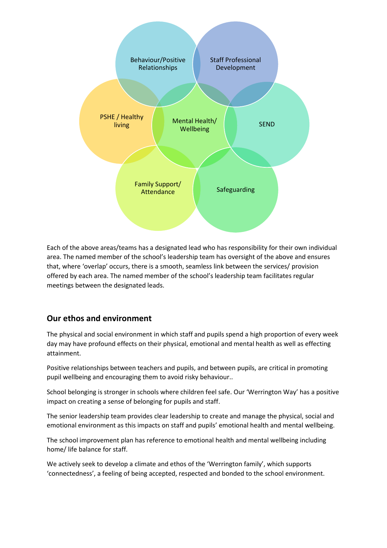

Each of the above areas/teams has a designated lead who has responsibility for their own individual area. The named member of the school's leadership team has oversight of the above and ensures that, where 'overlap' occurs, there is a smooth, seamless link between the services/ provision offered by each area. The named member of the school's leadership team facilitates regular meetings between the designated leads.

# **Our ethos and environment**

The physical and social environment in which staff and pupils spend a high proportion of every week day may have profound effects on their physical, emotional and mental health as well as effecting attainment.

Positive relationships between teachers and pupils, and between pupils, are critical in promoting pupil wellbeing and encouraging them to avoid risky behaviour..

School belonging is stronger in schools where children feel safe. Our 'Werrington Way' has a positive impact on creating a sense of belonging for pupils and staff.

The senior leadership team provides clear leadership to create and manage the physical, social and emotional environment as this impacts on staff and pupils' emotional health and mental wellbeing.

The school improvement plan has reference to emotional health and mental wellbeing including home/ life balance for staff.

We actively seek to develop a climate and ethos of the 'Werrington family', which supports 'connectedness', a feeling of being accepted, respected and bonded to the school environment.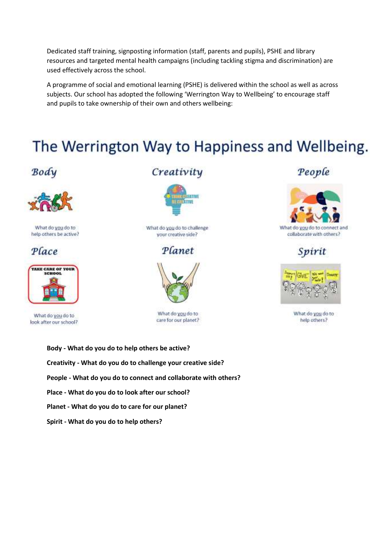Dedicated staff training, signposting information (staff, parents and pupils), PSHE and library resources and targeted mental health campaigns (including tackling stigma and discrimination) are used effectively across the school.

A programme of social and emotional learning (PSHE) is delivered within the school as well as across subjects. Our school has adopted the following 'Werrington Way to Wellbeing' to encourage staff and pupils to take ownership of their own and others wellbeing:

# The Werrington Way to Happiness and Wellbeing.

# Body



What do you do to help others be active?





What do you do to look after our school?

# Creativity



What do you do to challenge your creative side?

Planet



What do you do to care for our planet?

# **Body - What do you do to help others be active? Creativity - What do you do to challenge your creative side? People - What do you do to connect and collaborate with others? Place - What do you do to look after our school? Planet - What do you do to care for our planet? Spirit - What do you do to help others?**

# People



collaborate with others?

Spirit



What do you do to help others?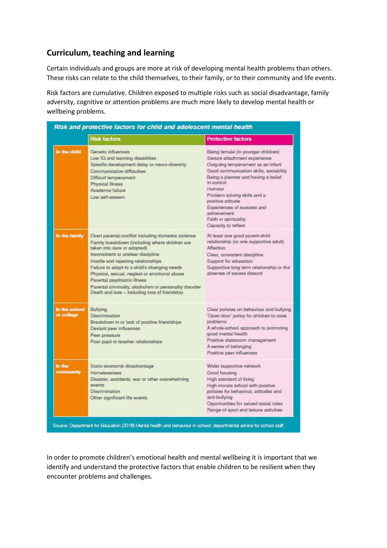# **Curriculum, teaching and learning**

Certain individuals and groups are more at risk of developing mental health problems than others. These risks can relate to the child themselves, to their family, or to their community and life events.

Risk factors are cumulative. Children exposed to multiple risks such as social disadvantage, family adversity, cognitive or attention problems are much more likely to develop mental health or wellbeing problems.

|                             | <b>Risk factors</b>                                                                                                                                                                                                                                                                                                                                                                                                                                            | <b>Protective factors</b>                                                                                                                                                                                                                                                                                                                                                 |
|-----------------------------|----------------------------------------------------------------------------------------------------------------------------------------------------------------------------------------------------------------------------------------------------------------------------------------------------------------------------------------------------------------------------------------------------------------------------------------------------------------|---------------------------------------------------------------------------------------------------------------------------------------------------------------------------------------------------------------------------------------------------------------------------------------------------------------------------------------------------------------------------|
| In the child                | Genetic influences<br>Low IQ and learning disabilities<br>Specific development delay or neuro-diversity<br>Communication difficulties<br>Difficult temperament<br>Physical illness<br>Academic failure<br>Low self-esteem                                                                                                                                                                                                                                      | Being female (in younger children)<br>Secure attachment experience<br>Outgoing temperament as an infant<br>Good communication skills, sociability<br>Being a planner and having a belief<br>in control<br><b>Humour</b><br>Problem solving skills and a<br>positive attitude<br>Experiences of success and<br>achievement<br>Faith or spirituality<br>Capacity to reflect |
| In the family               | Overt parental conflict including domestic violence<br>Family breakdown (including where children are<br>taken into care or adopted)<br>Inconsistent or unclear discipline<br>Hostile and rejecting relationships<br>Failure to adapt to a child's changing needs<br>Physical, sexual, neglect or emotional abuse<br>Parental psychiatric illness<br>Parental criminality, alcoholism or personality disorder<br>Death and loss - including loss of friendship | At least one good parent-child<br>relationship (or one supportive adult)<br>Affection<br>Clear, consistent discipline<br>Support for education<br>Supportive long term relationship or the<br>absence of severe discord                                                                                                                                                   |
| in the school<br>or college | Bullying<br>Discrimination<br>Breakdown in or lack of positive friendships<br>Deviant peer influences<br>Peer pressure<br>Poor pupil to teacher relationships                                                                                                                                                                                                                                                                                                  | Clear policies on behaviour and bullying<br>'Open door' policy for children to raise<br>problems<br>A whole-school approach to promoting<br>good mental health<br>Positive classroom management<br>A sense of belonging<br>Positive peer influences                                                                                                                       |
| <b>In the</b><br>community  | Socio-economic disadvantage<br><b>Homelessness</b><br>Disaster, accidents, war or other overwhelming<br>events<br>Discrimination<br>Other significant life events                                                                                                                                                                                                                                                                                              | Wider supportive network<br>Good housing<br>High standard of living<br>High morale school with positive<br>policies for behaviour, attitudes and<br>anti-bullying<br>Opportunities for valued social roles<br>Range of sport and leisure activities                                                                                                                       |

In order to promote children's emotional health and mental wellbeing it is important that we identify and understand the protective factors that enable children to be resilient when they encounter problems and challenges.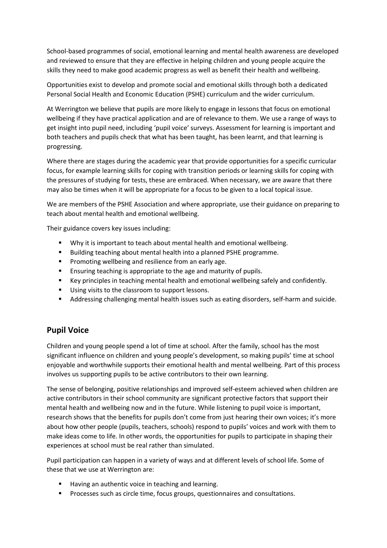School-based programmes of social, emotional learning and mental health awareness are developed and reviewed to ensure that they are effective in helping children and young people acquire the skills they need to make good academic progress as well as benefit their health and wellbeing.

Opportunities exist to develop and promote social and emotional skills through both a dedicated Personal Social Health and Economic Education (PSHE) curriculum and the wider curriculum.

At Werrington we believe that pupils are more likely to engage in lessons that focus on emotional wellbeing if they have practical application and are of relevance to them. We use a range of ways to get insight into pupil need, including 'pupil voice' surveys. Assessment for learning is important and both teachers and pupils check that what has been taught, has been learnt, and that learning is progressing.

Where there are stages during the academic year that provide opportunities for a specific curricular focus, for example learning skills for coping with transition periods or learning skills for coping with the pressures of studying for tests, these are embraced. When necessary, we are aware that there may also be times when it will be appropriate for a focus to be given to a local topical issue.

We are members of the PSHE Association and where appropriate, use their guidance on preparing to teach about mental health and emotional wellbeing.

Their guidance covers key issues including:

- Why it is important to teach about mental health and emotional wellbeing.
- Building teaching about mental health into a planned PSHE programme.
- **Promoting wellbeing and resilience from an early age.**
- **Ensuring teaching is appropriate to the age and maturity of pupils.**
- Key principles in teaching mental health and emotional wellbeing safely and confidently.
- Using visits to the classroom to support lessons.
- Addressing challenging mental health issues such as eating disorders, self-harm and suicide.

#### **Pupil Voice**

Children and young people spend a lot of time at school. After the family, school has the most significant influence on children and young people's development, so making pupils' time at school enjoyable and worthwhile supports their emotional health and mental wellbeing. Part of this process involves us supporting pupils to be active contributors to their own learning.

The sense of belonging, positive relationships and improved self-esteem achieved when children are active contributors in their school community are significant protective factors that support their mental health and wellbeing now and in the future. While listening to pupil voice is important, research shows that the benefits for pupils don't come from just hearing their own voices; it's more about how other people (pupils, teachers, schools) respond to pupils' voices and work with them to make ideas come to life. In other words, the opportunities for pupils to participate in shaping their experiences at school must be real rather than simulated.

Pupil participation can happen in a variety of ways and at different levels of school life. Some of these that we use at Werrington are:

- Having an authentic voice in teaching and learning.
- **Processes such as circle time, focus groups, questionnaires and consultations.**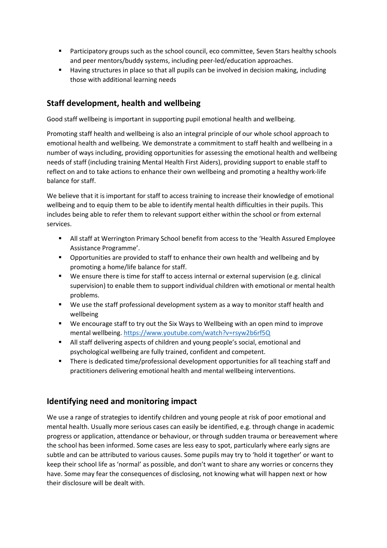- Participatory groups such as the school council, eco committee, Seven Stars healthy schools and peer mentors/buddy systems, including peer-led/education approaches.
- Having structures in place so that all pupils can be involved in decision making, including those with additional learning needs

### **Staff development, health and wellbeing**

Good staff wellbeing is important in supporting pupil emotional health and wellbeing.

Promoting staff health and wellbeing is also an integral principle of our whole school approach to emotional health and wellbeing. We demonstrate a commitment to staff health and wellbeing in a number of ways including, providing opportunities for assessing the emotional health and wellbeing needs of staff (including training Mental Health First Aiders), providing support to enable staff to reflect on and to take actions to enhance their own wellbeing and promoting a healthy work-life balance for staff.

We believe that it is important for staff to access training to increase their knowledge of emotional wellbeing and to equip them to be able to identify mental health difficulties in their pupils. This includes being able to refer them to relevant support either within the school or from external services.

- All staff at Werrington Primary School benefit from access to the 'Health Assured Employee Assistance Programme'.
- Opportunities are provided to staff to enhance their own health and wellbeing and by promoting a home/life balance for staff.
- We ensure there is time for staff to access internal or external supervision (e.g. clinical supervision) to enable them to support individual children with emotional or mental health problems.
- We use the staff professional development system as a way to monitor staff health and wellbeing
- We encourage staff to try out the Six Ways to Wellbeing with an open mind to improve mental wellbeing.<https://www.youtube.com/watch?v=rsyw2b6rf5Q>
- All staff delivering aspects of children and young people's social, emotional and psychological wellbeing are fully trained, confident and competent.
- There is dedicated time/professional development opportunities for all teaching staff and practitioners delivering emotional health and mental wellbeing interventions.

# **Identifying need and monitoring impact**

We use a range of strategies to identify children and young people at risk of poor emotional and mental health. Usually more serious cases can easily be identified, e.g. through change in academic progress or application, attendance or behaviour, or through sudden trauma or bereavement where the school has been informed. Some cases are less easy to spot, particularly where early signs are subtle and can be attributed to various causes. Some pupils may try to 'hold it together' or want to keep their school life as 'normal' as possible, and don't want to share any worries or concerns they have. Some may fear the consequences of disclosing, not knowing what will happen next or how their disclosure will be dealt with.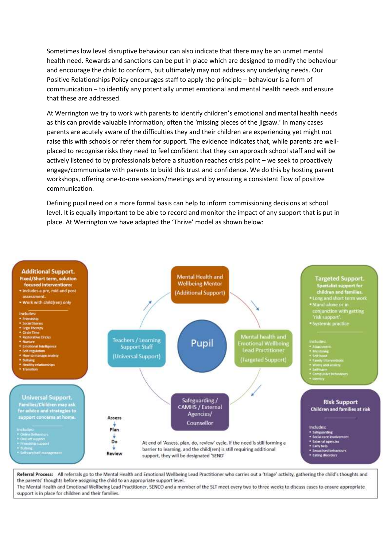Sometimes low level disruptive behaviour can also indicate that there may be an unmet mental health need. Rewards and sanctions can be put in place which are designed to modify the behaviour and encourage the child to conform, but ultimately may not address any underlying needs. Our Positive Relationships Policy encourages staff to apply the principle – behaviour is a form of communication – to identify any potentially unmet emotional and mental health needs and ensure that these are addressed.

At Werrington we try to work with parents to identify children's emotional and mental health needs as this can provide valuable information; often the 'missing pieces of the jigsaw.' In many cases parents are acutely aware of the difficulties they and their children are experiencing yet might not raise this with schools or refer them for support. The evidence indicates that, while parents are wellplaced to recognise risks they need to feel confident that they can approach school staff and will be actively listened to by professionals before a situation reaches crisis point – we seek to proactively engage/communicate with parents to build this trust and confidence. We do this by hosting parent workshops, offering one-to-one sessions/meetings and by ensuring a consistent flow of positive communication.

Defining pupil need on a more formal basis can help to inform commissioning decisions at school level. It is equally important to be able to record and monitor the impact of any support that is put in place. At Werrington we have adapted the 'Thrive' model as shown below:



Referral Process: All referrals go to the Mental Health and Emotional Wellbeing Lead Practitioner who carries out a 'triage' activity, gathering the child's thoughts and the parents' thoughts before assigning the child to an appropriate support level.

The Mental Health and Emotional Wellbeing Lead Practitioner, SENCO and a member of the SLT meet every two to three weeks to discuss cases to ensure appropriate support is in place for children and their families.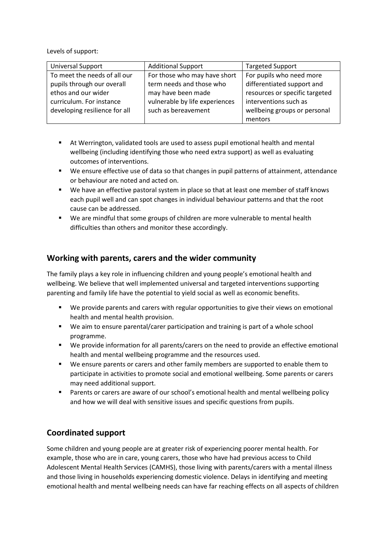Levels of support:

| <b>Universal Support</b>                                   | <b>Additional Support</b>                                | <b>Targeted Support</b>                                |
|------------------------------------------------------------|----------------------------------------------------------|--------------------------------------------------------|
| To meet the needs of all our<br>pupils through our overall | For those who may have short<br>term needs and those who | For pupils who need more<br>differentiated support and |
| ethos and our wider                                        | may have been made                                       | resources or specific targeted                         |
| curriculum. For instance                                   | vulnerable by life experiences                           | interventions such as                                  |
| developing resilience for all                              | such as bereavement                                      | wellbeing groups or personal                           |
|                                                            |                                                          | mentors                                                |

- At Werrington, validated tools are used to assess pupil emotional health and mental wellbeing (including identifying those who need extra support) as well as evaluating outcomes of interventions.
- We ensure effective use of data so that changes in pupil patterns of attainment, attendance or behaviour are noted and acted on.
- We have an effective pastoral system in place so that at least one member of staff knows each pupil well and can spot changes in individual behaviour patterns and that the root cause can be addressed.
- We are mindful that some groups of children are more vulnerable to mental health difficulties than others and monitor these accordingly.

### **Working with parents, carers and the wider community**

The family plays a key role in influencing children and young people's emotional health and wellbeing. We believe that well implemented universal and targeted interventions supporting parenting and family life have the potential to yield social as well as economic benefits.

- We provide parents and carers with regular opportunities to give their views on emotional health and mental health provision.
- We aim to ensure parental/carer participation and training is part of a whole school programme.
- We provide information for all parents/carers on the need to provide an effective emotional health and mental wellbeing programme and the resources used.
- We ensure parents or carers and other family members are supported to enable them to participate in activities to promote social and emotional wellbeing. Some parents or carers may need additional support.
- Parents or carers are aware of our school's emotional health and mental wellbeing policy and how we will deal with sensitive issues and specific questions from pupils.

# **Coordinated support**

Some children and young people are at greater risk of experiencing poorer mental health. For example, those who are in care, young carers, those who have had previous access to Child Adolescent Mental Health Services (CAMHS), those living with parents/carers with a mental illness and those living in households experiencing domestic violence. Delays in identifying and meeting emotional health and mental wellbeing needs can have far reaching effects on all aspects of children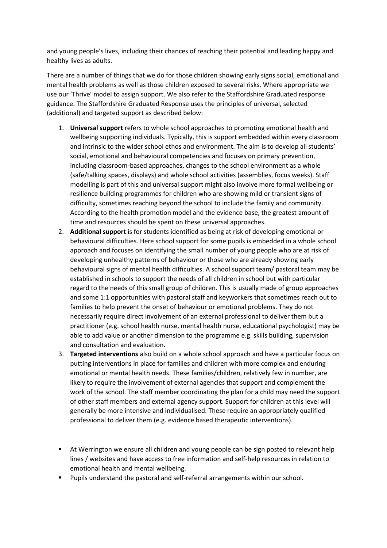and young people's lives, including their chances of reaching their potential and leading happy and healthy lives as adults.

There are a number of things that we do for those children showing early signs social, emotional and mental health problems as well as those children exposed to several risks. Where appropriate we use our 'Thrive' model to assign support. We also refer to the Staffordshire Graduated response guidance. The Staffordshire Graduated Response uses the principles of universal, selected (additional) and targeted support as described below:

- 1. **Universal support** refers to whole school approaches to promoting emotional health and wellbeing supporting individuals. Typically, this is support embedded within every classroom and intrinsic to the wider school ethos and environment. The aim is to develop all students' social, emotional and behavioural competencies and focuses on primary prevention, including classroom-based approaches, changes to the school environment as a whole (safe/talking spaces, displays) and whole school activities (assemblies, focus weeks). Staff modelling is part of this and universal support might also involve more formal wellbeing or resilience building programmes for children who are showing mild or transient signs of difficulty, sometimes reaching beyond the school to include the family and community. According to the health promotion model and the evidence base, the greatest amount of time and resources should be spent on these universal approaches.
- 2. **Additional support** is for students identified as being at risk of developing emotional or behavioural difficulties. Here school support for some pupils is embedded in a whole school approach and focuses on identifying the small number of young people who are at risk of developing unhealthy patterns of behaviour or those who are already showing early behavioural signs of mental health difficulties. A school support team/ pastoral team may be established in schools to support the needs of all children in school but with particular regard to the needs of this small group of children. This is usually made of group approaches and some 1:1 opportunities with pastoral staff and keyworkers that sometimes reach out to families to help prevent the onset of behaviour or emotional problems. They do not necessarily require direct involvement of an external professional to deliver them but a practitioner (e.g. school health nurse, mental health nurse, educational psychologist) may be able to add value or another dimension to the programme e.g. skills building, supervision and consultation and evaluation.
- 3. **Targeted interventions** also build on a whole school approach and have a particular focus on putting interventions in place for families and children with more complex and enduring emotional or mental health needs. These families/children, relatively few in number, are likely to require the involvement of external agencies that support and complement the work of the school. The staff member coordinating the plan for a child may need the support of other staff members and external agency support. Support for children at this level will generally be more intensive and individualised. These require an appropriately qualified professional to deliver them (e.g. evidence based therapeutic interventions).
- At Werrington we ensure all children and young people can be sign posted to relevant help lines / websites and have access to free information and self-help resources in relation to emotional health and mental wellbeing.
- Pupils understand the pastoral and self-referral arrangements within our school.